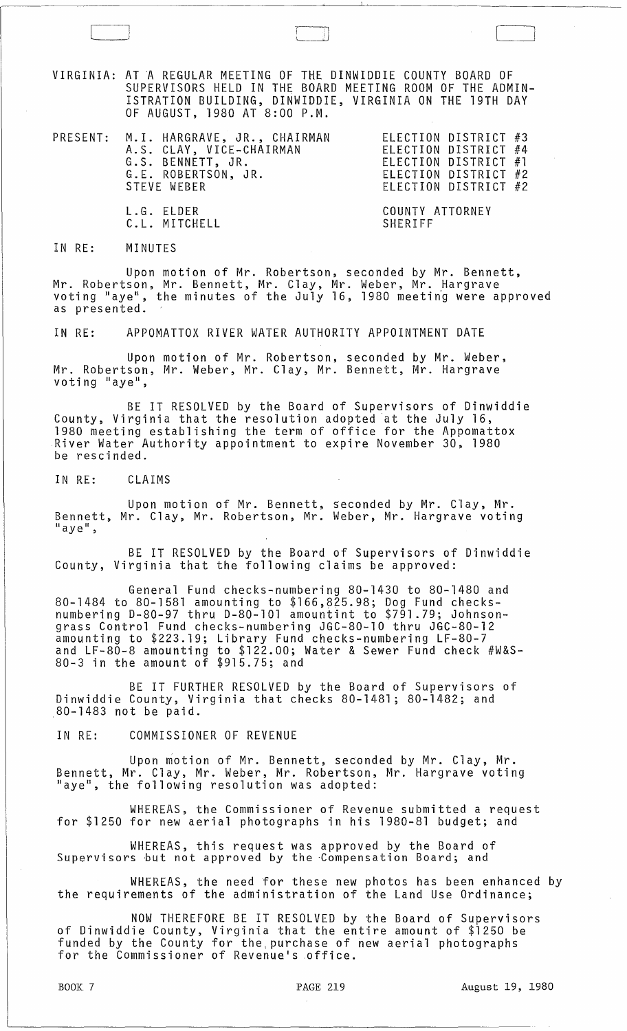VIRGINIA: AT A REGULAR MEETING OF THE DINWIDDIE COUNTY BOARD OF SUPERVISORS HELD IN THE BOARD MEETING ROOM OF THE ADMIN-ISTRATION BUILDING, DINWIDDIE, VIRGINIA ON THE 19TH DAY OF AUGUST, 1980 AT 8:00 P.M.

 $\Box$ 

I,

| PRESENT: M.I. HARGRAVE, JR., CHAIRMAN<br>A.S. CLAY, VICE-CHAIRMAN<br>G.S. BENNETT, JR.<br>G.E. ROBERTSON, JR.<br>STEVE WEBER | ELECTION DISTRICT #3<br>ELECTION DISTRICT #4<br>ELECTION DISTRICT #1<br>ELECTION DISTRICT #2<br>ELECTION DISTRICT #2 |
|------------------------------------------------------------------------------------------------------------------------------|----------------------------------------------------------------------------------------------------------------------|
| L.G. ELDER<br>C.L. MITCHELL                                                                                                  | COUNTY ATTORNEY<br>SHERIFF                                                                                           |

IN RE: MINUTES

Upon motion of Mr. Robertson, seconded by Mr. Bennett, Mr. Robertson, Mr. Bennett, Mr. Clay, Mr. Weber, Mr. Hargrave<br>voting "aye", the minutes of the July 16, 1980 meeting were approved as presented.

IN RE: APPOMATTOX RIVER WATER AUTHORITY APPOINTMENT DATE

Upon motion of Mr. Robertson, seconded by Mr. Weber, Mr. Robertson, Mr. Weber, Mr. Clay, Mr. Bennett, Mr. Hargrave<br>voting "aye",

BE IT RESOLVED by the Board of Supervisors of Dinwiddie County, Virginia that the resolution adopted at the July 16, 1980 meeting establishing the term of office for the Appomattox River Water Authority appointment to expire November 30, 1980 be rescinded.

IN RE: CLAIMS

Upon motion of Mr. Bennett, seconded by Mr. Clay, Mr. Bennett, Mr. Clay, Mr. Robertson, Mr. Weber, Mr. Hargrave voting<br>"aye",

BE IT RESOLVED by the Board of Supervisors of Dinwiddie County, Virginia that the following claims be approved:

General Fund checks-numbering 80-1430 to 80-1480 and 80-1484 to 80-1581 amounting to \$166,825.98; Dog Fund checksnumbering D-80-97 thru D-80-101 amountint to \$791.79; Johnsongrass Control Fund checks-numbering JGC-80-10 thru JGC-80-12 amounting to \$223.19; Library Fund checks-numbering LF-80-7 and LF-80-8 amounting to \$122.00; Water & Sewer Fund check #W&S-80-3 in the amount of \$915.75; and

BE IT FURTHER RESOLVED by the Board of Supervisors of Dinwiddie County, Virginia that checks 80-1481; 80-1482; and ,80-1483 not be paid.

IN RE: COMMISSIONER OF REVENUE

Upon motion of Mr. Bennett, seconded by Mr. Clay, Mr. Bennett, Mr. Clay, Mr. Weber, Mr. Robertson, Mr. Hargrave voting "aye", the following resolution was adopted:

WHEREAS, the Commissioner of Revenue submitted a request for \$1250 for new aerial photographs in his 1980-81 budget; and

WHEREAS, this request was approved by the Board of Supervisors but not approved by the Compensation Board; and

WHEREAS, the need for these new photos has been enhanced by the requirements of the administration of the Land Use Ordinance;

NOW THEREFORE BE IT RESOLVED by the Board of Supervisors of Dinwiddie County, Virginia that the entire amount of \$1250 be funded by the County for the,purchase of new aerial photographs for the Commissioner of Revenue's office.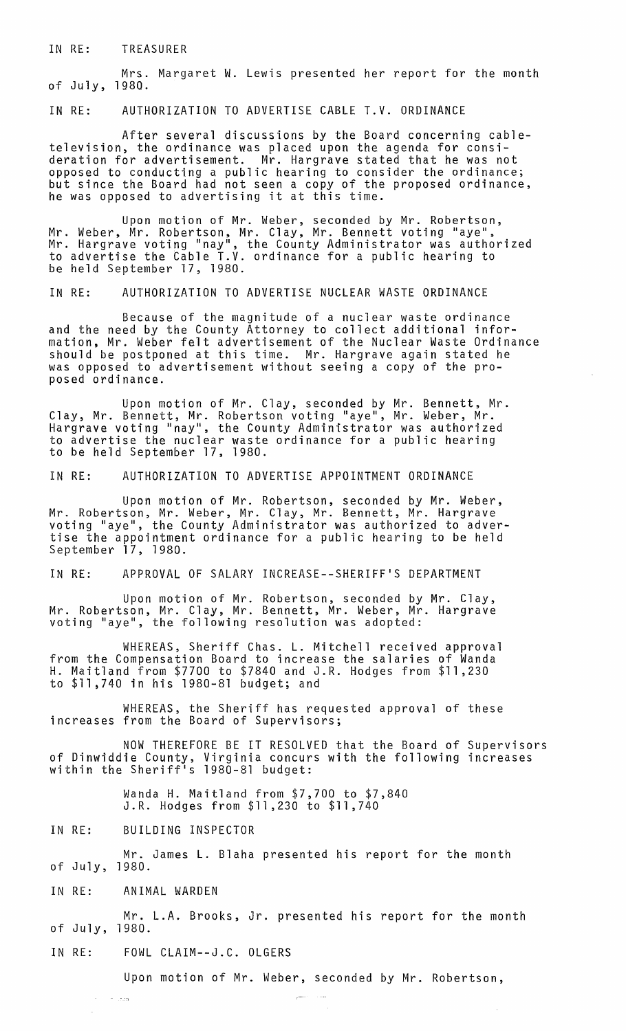IN RE: TREASURER

Mrs. Margaret W. Lewis presented her report for the month of July, 1980.

IN RE: AUTHORIZATION TO ADVERTISE CABLE T.V. ORDINANCE

After several discussions by the Board concerning cabletelevision, the ordinance was placed upon the agenda for consideration for advertisement. Mr. Hargrave stated that he was not opposed to conducting a public hearing to consider the ordinance; but since the Board had not seen a copy of the proposed ordinance, he was opposed to advertising it at this time.

Upon motion of Mr. Weber, seconded by Mr. Robertson, Mr. Weber, Mr. Robertson, Mr. Clay, Mr. Bennett voting "aye",<br>Mr. Hargrave voting "nay", the County Administrator was authorized to advertise the Cable T.V. ordinance for a public hearing to be held September 17, 1980.

IN RE: AUTHORIZATION TO ADVERTISE NUCLEAR WASTE ORDINANCE

Because of the magnitude of a nuclear waste ordinance and the need by the County Attorney to collect additional information, Mr. Weber felt advertisement of the Nuclear Waste Ordinance should be postponed at this time. Mr. Hargrave again stated he was opposed to advertisement without seeing a copy of the proposed ordinance.

Upon motion of Mr. Clay, seconded by Mr. Bennett, Mr. Clay, Mr. Bennett, Mr. Robertson voting "aye", Mr. Weber, Mr. Hargrave voting "nay", the County Administrator was authorized to advertise the nuclear waste ordinance for a public hearing to be held September 17, 1980.

IN RE: AUTHORIZATION TO ADVERTISE APPOINTMENT ORDINANCE

Upon motion of Mr. Robertson, seconded by Mr. Weber, Mr. Robertson, Mr. Weber, Mr. Clay, Mr. Bennett, Mr. Hargrave voting "aye", the County Administrator was authorized to advertise the appointment ordinance for a public hearing to be held September 17, 1980.

IN RE: APPROVAL OF SALARY INCREASE--SHERIFF'S DEPARTMENT

Upon motion of Mr. Robertson, seconded by Mr. Clay, Mr. Clay, Mr. Clay, Mr. Bennett, Mr. Weber, Mr. Hargrave<br>voting "aye", the following resolution was adopted:

WHEREAS, Sheriff Chas. L. Mitchell received approval from the Compensation Board to increase the salaries of Wanda H. Maitland from \$7700 to \$7840 and J.R. Hodges from \$11,230 to \$11,740 in his 1980-81 budget; and

WHEREAS, the Sheriff has requested approval of these increases from the Board of Supervisors;

NOW THEREFORE BE IT RESOLVED that the Board of Supervisors of Dinwiddie County, Virginia concurs with the following increases within the Sheriff's 1980-81 budget:

> Wanda H. Maitland from \$7,700 to \$7,840 J.R. Hodges from \$11,230 to \$11,740

IN RE: BUILDING INSPECTOR

of July, 1980. Mr. James L. Blaha presented his report for the month

IN RE: ANIMAL WARDEN

 $\sim$ 

 $\tau = 1.505$ 

Mr. L.A. Brooks, Jr. presented his report for the month of July, 1980.

IN RE: FOWL CLAIM--J.C. OLGERS

Upon motion of Mr. Weber, seconded by Mr. Robertson,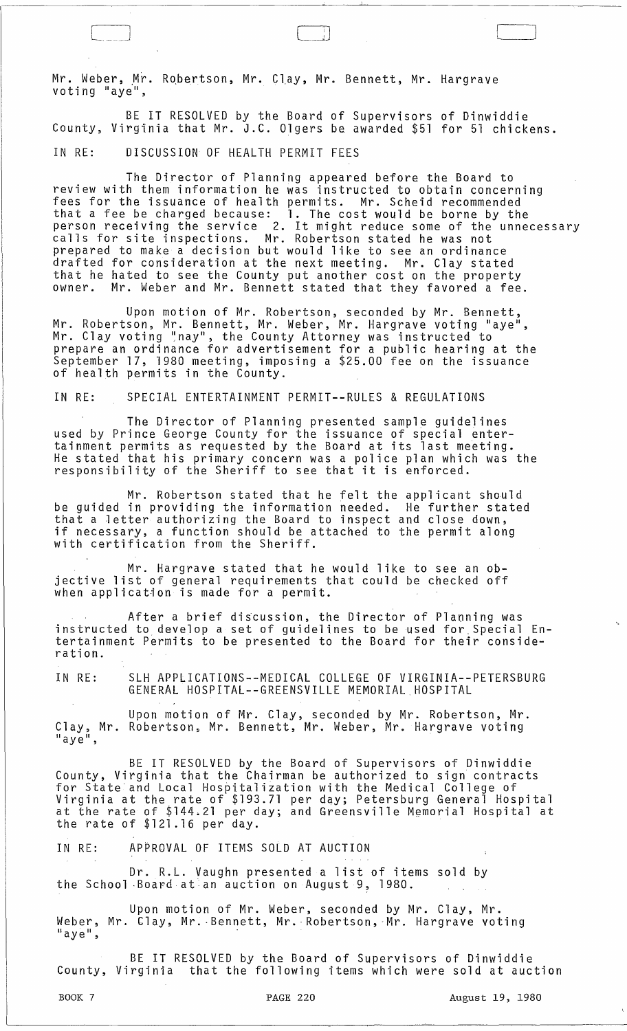Mr. Weber, Mr. Robertson, Mr. Clay, Mr. Bennett, Mr. Hargrave<br>voting "aye",

BE IT RESOLVED by the Board of Supervisors of Dinwiddie County, Virginia that Mr. J.C. Olgers be awarded \$51 for 51 chickens.

 $\Box$ 

# IN RE: DISCUSSION OF HEALTH PERMIT FEES

The Director of Planning appeared before the Board to<br>review with them information he was instructed to obtain concerning review with them information he was instructed to obtain concerning fees for the issuance of health permits. Mr. Scheid recommended that a fee be charged because: 1. The cost would be borne by the person receiving the service 2. It might reduce some of the unnecessary calls for site inspections. Mr. Robertson stated he was not prepared to make a decision but would like to see an ordinance drafted for consideration at the next meeting. Mr. Clay stated that he hated to see the County put another cost on the property owner. Mr. Weber and Mr. Bennett stated that they favored a fee.

Upon motion of Mr. Robertson, seconded by Mr. Bennett, Mr. Robertson, Mr. Bennett, Mr. Weber, Mr. Hargrave voting "aye",<br>Mr. Clay voting "nay", the County Attorney was instructed to prepare an ordinance for advertisement for a public hearing at the September 17, 1980 meeting, imposing a \$25.00 fee on the issuance of health permits in the County.

## IN RE: SPECIAL ENTERTAINMENT PERMIT--RULES & REGULATIONS

The Director of Planning presented sample guidelines used by Prince George County for the issuance of special entertainment permits as requested by the Board at its last meeting. He stated that his primary concern was a police plan which was the responsibility of the Sheriff to see that it is enforced.

Mr. Robertson stated that he felt the applicant should be guided in providing the information needed. He further stated that a letter authorizing the Board to inspect and close down, if necessary, a function should be attached to the permit along with certification from the Sheriff.

Mr. Hargrave stated that he would like to see an objective list of general requirements that could be checked off when application is made for a permit.

After a brief discussion, the Director of Planning was instructed to, develop a set of guidelines to be used for,Special Entertainment Permits to be presented to the Board for their consideration.

IN RE: SLH APPLICATIONS--MEDICAL COLLEGE OF VIRGINIA--PETERSBURG GENERAL HOSPITAL--GREENSVILLE MEMORIAL HOSPITAL

Upon motion of Mr. Clay, seconded by Mr. Robertson, Mr. Clay, Mr. Robertson, Mr. Bennett, Mr. Weber, Mr. Hargrave voting<br>"aye",

BE IT RESOLVED by the Board of Supervisors of Dinwiddie County, Virginia that the Chairman be authorized to sign contracts for State and Local Hospitalization with the Medical College of Virginia at the rate of \$193.71 per day; Petersburg General Hospital at the rate of \$144.21 per day; and Greensville Memorial Hospital at the rate of \$121.16 per day.

IN RE: APPROVAL OF ITEMS SOLD AT AUCTION

Dr. R.L. Vaughn presented a list of items sold by the School Board at an auction on August 9, 1980.

Upon motion of Mr. Weber, seconded by Mr. Clay, Mr. Weber, Mr. Clay, Mr. Bennett, Mr. Robertson, Mr. Hargrave voting<br>"aye",

BE IT RESOLVED by the Board of Supervisors of Dinwiddie County, Virginia that the following items which were sold at auction

 $\rfloor$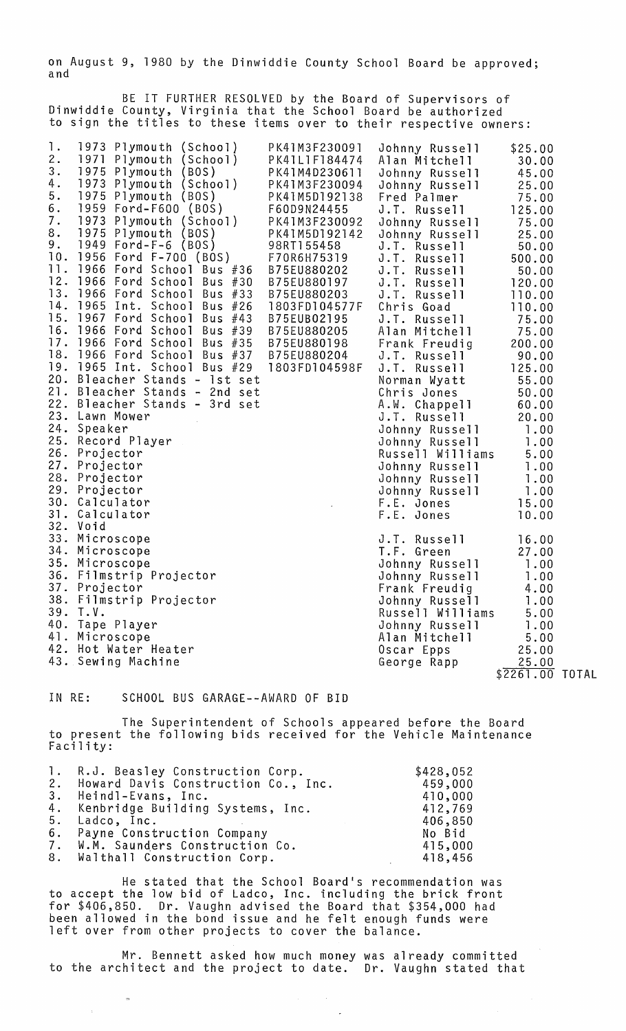on August 9, 1980 by the Dinwiddie County School Board be approved;<br>and

BE IT FURTHER RESOLVED by the Board of Supervisors of Dinwiddie County, Virginia that the School Board be authorized to sign the titles to these items over to their respective owners:

| 9.<br>98RT155458<br>J.T. Russell<br>50.00<br>10.<br>1956 Ford F-700 (BOS)<br>F70R6H75319<br>J.T. Russell<br>500.00<br>11.<br>1966 Ford School Bus #36<br>B75EU880202<br>J.T. Russell<br>50.00<br>12.<br>1966 Ford School Bus #30<br>B75EU880197<br>J.T. Russell<br>120.00<br>13.<br>1966 Ford School Bus #33<br>B75EU880203<br>J.T. Russell<br>110.00<br>14.<br>1965 Int. School Bus #26<br>1803FD104577F<br>Chris Goad<br>110.00<br>15.<br>1967 Ford School Bus #43<br>B75EUB02195<br>J.T. Russell<br>75.00<br>16.<br>1966 Ford School Bus #39<br>B75EU880205<br>Alan Mitchell<br>75.00<br>17.<br>1966 Ford School Bus #35 B75EU880198<br>Frank Freudig<br>200.00<br>18. 1966 Ford School Bus #37 B75EU880204<br>J.T. Russell<br>90.00<br>19. 1965 Int. School Bus #29 1803FD104598F<br>J.T. Russell<br>125.00<br>20. Bleacher Stands - 1st set<br>55.00<br>Norman Wyatt<br>21. Bleacher Stands - 2nd set<br>Chris Jones<br>50.00<br>22. Bleacher Stands - 3rd set<br>A.W. Chappell<br>60.00<br>23. Lawn Mower<br>J.T. Russell<br>20.00<br>24. Speaker<br>Johnny Russell<br>1.00<br>25. Record Player<br>Johnny Russell<br>1.00<br>26. Projector<br>Russell Williams<br>5.00<br>27. Projector<br>1.00<br>Johnny Russell<br>28. Projector<br>Johnny Russell<br>1.00<br>29. Projector<br>Johnny Russell<br>1.00<br>30. Calculator<br>F.E. Jones<br>15.00<br>31. Calculator<br>F.E. Jones<br>10.00<br>32. Void<br>33. Microscope<br>J.T. Russell<br>16.00<br>34. Microscope<br>T.F. Green<br>27.00<br>35. Microscope<br>Johnny Russell<br>1.00<br>36. Filmstrip Projector<br>Johnny Russell<br>1.00<br>37. Projector<br>Frank Freudig<br>4.00<br>38. Filmstrip Projector<br>Johnny Russell<br>1.00<br>39. T.V.<br>Russell Williams<br>5.00<br>40. Tape Player<br>Johnny Russell<br>1.00<br>41. Microscope<br>Alan Mitchell<br>5.00<br>42. Hot Water Heater<br>25.00<br>Oscar Epps<br>43. Sewing Machine<br>25.00<br>George Rapp<br>\$2261.00 TOTAL | 1.<br>2.<br>3.<br>4.<br>5.<br>6.<br>7.<br>8. | 1973 Plymouth (School)<br>1971 Plymouth (School)<br>1975 Plymouth (BOS)<br>1973 Plymouth (School) PK41M3F230094<br>1975 Plymouth (BOS) PK41M5D192138<br>1959 Ford-rouw (pos)<br>1973 Plymouth (School)<br>1973 Plymouth (ROS) | PK41M3F230091<br>PK41L1F184474<br>PK41M4D230611<br>F60D9N24455<br>PK41M3F230092<br>PK41M5D192142 | Johnny Russell<br>Alan Mitchell 30.00<br>Johnny Russell<br>Johnny Russell<br>Fred Palmer<br>J.T. Russell<br>Johnny Russell<br>Johnny Russell | \$25.00<br>45.00<br>25.00<br>75.00<br>125.00<br>75.00<br>25.00 |  |
|--------------------------------------------------------------------------------------------------------------------------------------------------------------------------------------------------------------------------------------------------------------------------------------------------------------------------------------------------------------------------------------------------------------------------------------------------------------------------------------------------------------------------------------------------------------------------------------------------------------------------------------------------------------------------------------------------------------------------------------------------------------------------------------------------------------------------------------------------------------------------------------------------------------------------------------------------------------------------------------------------------------------------------------------------------------------------------------------------------------------------------------------------------------------------------------------------------------------------------------------------------------------------------------------------------------------------------------------------------------------------------------------------------------------------------------------------------------------------------------------------------------------------------------------------------------------------------------------------------------------------------------------------------------------------------------------------------------------------------------------------------------------------------------------------------------------------------------------------------------------------------------------------------------------------------------------------|----------------------------------------------|-------------------------------------------------------------------------------------------------------------------------------------------------------------------------------------------------------------------------------|--------------------------------------------------------------------------------------------------|----------------------------------------------------------------------------------------------------------------------------------------------|----------------------------------------------------------------|--|
|                                                                                                                                                                                                                                                                                                                                                                                                                                                                                                                                                                                                                                                                                                                                                                                                                                                                                                                                                                                                                                                                                                                                                                                                                                                                                                                                                                                                                                                                                                                                                                                                                                                                                                                                                                                                                                                                                                                                                  |                                              |                                                                                                                                                                                                                               |                                                                                                  |                                                                                                                                              |                                                                |  |
|                                                                                                                                                                                                                                                                                                                                                                                                                                                                                                                                                                                                                                                                                                                                                                                                                                                                                                                                                                                                                                                                                                                                                                                                                                                                                                                                                                                                                                                                                                                                                                                                                                                                                                                                                                                                                                                                                                                                                  |                                              |                                                                                                                                                                                                                               |                                                                                                  |                                                                                                                                              |                                                                |  |
|                                                                                                                                                                                                                                                                                                                                                                                                                                                                                                                                                                                                                                                                                                                                                                                                                                                                                                                                                                                                                                                                                                                                                                                                                                                                                                                                                                                                                                                                                                                                                                                                                                                                                                                                                                                                                                                                                                                                                  |                                              |                                                                                                                                                                                                                               |                                                                                                  |                                                                                                                                              |                                                                |  |
|                                                                                                                                                                                                                                                                                                                                                                                                                                                                                                                                                                                                                                                                                                                                                                                                                                                                                                                                                                                                                                                                                                                                                                                                                                                                                                                                                                                                                                                                                                                                                                                                                                                                                                                                                                                                                                                                                                                                                  |                                              |                                                                                                                                                                                                                               |                                                                                                  |                                                                                                                                              |                                                                |  |
|                                                                                                                                                                                                                                                                                                                                                                                                                                                                                                                                                                                                                                                                                                                                                                                                                                                                                                                                                                                                                                                                                                                                                                                                                                                                                                                                                                                                                                                                                                                                                                                                                                                                                                                                                                                                                                                                                                                                                  |                                              |                                                                                                                                                                                                                               |                                                                                                  |                                                                                                                                              |                                                                |  |
|                                                                                                                                                                                                                                                                                                                                                                                                                                                                                                                                                                                                                                                                                                                                                                                                                                                                                                                                                                                                                                                                                                                                                                                                                                                                                                                                                                                                                                                                                                                                                                                                                                                                                                                                                                                                                                                                                                                                                  |                                              |                                                                                                                                                                                                                               |                                                                                                  |                                                                                                                                              |                                                                |  |
|                                                                                                                                                                                                                                                                                                                                                                                                                                                                                                                                                                                                                                                                                                                                                                                                                                                                                                                                                                                                                                                                                                                                                                                                                                                                                                                                                                                                                                                                                                                                                                                                                                                                                                                                                                                                                                                                                                                                                  |                                              |                                                                                                                                                                                                                               |                                                                                                  |                                                                                                                                              |                                                                |  |
|                                                                                                                                                                                                                                                                                                                                                                                                                                                                                                                                                                                                                                                                                                                                                                                                                                                                                                                                                                                                                                                                                                                                                                                                                                                                                                                                                                                                                                                                                                                                                                                                                                                                                                                                                                                                                                                                                                                                                  |                                              |                                                                                                                                                                                                                               |                                                                                                  |                                                                                                                                              |                                                                |  |
|                                                                                                                                                                                                                                                                                                                                                                                                                                                                                                                                                                                                                                                                                                                                                                                                                                                                                                                                                                                                                                                                                                                                                                                                                                                                                                                                                                                                                                                                                                                                                                                                                                                                                                                                                                                                                                                                                                                                                  |                                              |                                                                                                                                                                                                                               |                                                                                                  |                                                                                                                                              |                                                                |  |
|                                                                                                                                                                                                                                                                                                                                                                                                                                                                                                                                                                                                                                                                                                                                                                                                                                                                                                                                                                                                                                                                                                                                                                                                                                                                                                                                                                                                                                                                                                                                                                                                                                                                                                                                                                                                                                                                                                                                                  |                                              |                                                                                                                                                                                                                               |                                                                                                  |                                                                                                                                              |                                                                |  |
|                                                                                                                                                                                                                                                                                                                                                                                                                                                                                                                                                                                                                                                                                                                                                                                                                                                                                                                                                                                                                                                                                                                                                                                                                                                                                                                                                                                                                                                                                                                                                                                                                                                                                                                                                                                                                                                                                                                                                  |                                              |                                                                                                                                                                                                                               |                                                                                                  |                                                                                                                                              |                                                                |  |
|                                                                                                                                                                                                                                                                                                                                                                                                                                                                                                                                                                                                                                                                                                                                                                                                                                                                                                                                                                                                                                                                                                                                                                                                                                                                                                                                                                                                                                                                                                                                                                                                                                                                                                                                                                                                                                                                                                                                                  |                                              |                                                                                                                                                                                                                               |                                                                                                  |                                                                                                                                              |                                                                |  |
|                                                                                                                                                                                                                                                                                                                                                                                                                                                                                                                                                                                                                                                                                                                                                                                                                                                                                                                                                                                                                                                                                                                                                                                                                                                                                                                                                                                                                                                                                                                                                                                                                                                                                                                                                                                                                                                                                                                                                  |                                              |                                                                                                                                                                                                                               |                                                                                                  |                                                                                                                                              |                                                                |  |
|                                                                                                                                                                                                                                                                                                                                                                                                                                                                                                                                                                                                                                                                                                                                                                                                                                                                                                                                                                                                                                                                                                                                                                                                                                                                                                                                                                                                                                                                                                                                                                                                                                                                                                                                                                                                                                                                                                                                                  |                                              |                                                                                                                                                                                                                               |                                                                                                  |                                                                                                                                              |                                                                |  |
|                                                                                                                                                                                                                                                                                                                                                                                                                                                                                                                                                                                                                                                                                                                                                                                                                                                                                                                                                                                                                                                                                                                                                                                                                                                                                                                                                                                                                                                                                                                                                                                                                                                                                                                                                                                                                                                                                                                                                  |                                              |                                                                                                                                                                                                                               |                                                                                                  |                                                                                                                                              |                                                                |  |
|                                                                                                                                                                                                                                                                                                                                                                                                                                                                                                                                                                                                                                                                                                                                                                                                                                                                                                                                                                                                                                                                                                                                                                                                                                                                                                                                                                                                                                                                                                                                                                                                                                                                                                                                                                                                                                                                                                                                                  |                                              |                                                                                                                                                                                                                               |                                                                                                  |                                                                                                                                              |                                                                |  |
|                                                                                                                                                                                                                                                                                                                                                                                                                                                                                                                                                                                                                                                                                                                                                                                                                                                                                                                                                                                                                                                                                                                                                                                                                                                                                                                                                                                                                                                                                                                                                                                                                                                                                                                                                                                                                                                                                                                                                  |                                              |                                                                                                                                                                                                                               |                                                                                                  |                                                                                                                                              |                                                                |  |
|                                                                                                                                                                                                                                                                                                                                                                                                                                                                                                                                                                                                                                                                                                                                                                                                                                                                                                                                                                                                                                                                                                                                                                                                                                                                                                                                                                                                                                                                                                                                                                                                                                                                                                                                                                                                                                                                                                                                                  |                                              |                                                                                                                                                                                                                               |                                                                                                  |                                                                                                                                              |                                                                |  |
|                                                                                                                                                                                                                                                                                                                                                                                                                                                                                                                                                                                                                                                                                                                                                                                                                                                                                                                                                                                                                                                                                                                                                                                                                                                                                                                                                                                                                                                                                                                                                                                                                                                                                                                                                                                                                                                                                                                                                  |                                              |                                                                                                                                                                                                                               |                                                                                                  |                                                                                                                                              |                                                                |  |
|                                                                                                                                                                                                                                                                                                                                                                                                                                                                                                                                                                                                                                                                                                                                                                                                                                                                                                                                                                                                                                                                                                                                                                                                                                                                                                                                                                                                                                                                                                                                                                                                                                                                                                                                                                                                                                                                                                                                                  |                                              |                                                                                                                                                                                                                               |                                                                                                  |                                                                                                                                              |                                                                |  |
|                                                                                                                                                                                                                                                                                                                                                                                                                                                                                                                                                                                                                                                                                                                                                                                                                                                                                                                                                                                                                                                                                                                                                                                                                                                                                                                                                                                                                                                                                                                                                                                                                                                                                                                                                                                                                                                                                                                                                  |                                              |                                                                                                                                                                                                                               |                                                                                                  |                                                                                                                                              |                                                                |  |
|                                                                                                                                                                                                                                                                                                                                                                                                                                                                                                                                                                                                                                                                                                                                                                                                                                                                                                                                                                                                                                                                                                                                                                                                                                                                                                                                                                                                                                                                                                                                                                                                                                                                                                                                                                                                                                                                                                                                                  |                                              |                                                                                                                                                                                                                               |                                                                                                  |                                                                                                                                              |                                                                |  |
|                                                                                                                                                                                                                                                                                                                                                                                                                                                                                                                                                                                                                                                                                                                                                                                                                                                                                                                                                                                                                                                                                                                                                                                                                                                                                                                                                                                                                                                                                                                                                                                                                                                                                                                                                                                                                                                                                                                                                  |                                              |                                                                                                                                                                                                                               |                                                                                                  |                                                                                                                                              |                                                                |  |
|                                                                                                                                                                                                                                                                                                                                                                                                                                                                                                                                                                                                                                                                                                                                                                                                                                                                                                                                                                                                                                                                                                                                                                                                                                                                                                                                                                                                                                                                                                                                                                                                                                                                                                                                                                                                                                                                                                                                                  |                                              |                                                                                                                                                                                                                               |                                                                                                  |                                                                                                                                              |                                                                |  |
|                                                                                                                                                                                                                                                                                                                                                                                                                                                                                                                                                                                                                                                                                                                                                                                                                                                                                                                                                                                                                                                                                                                                                                                                                                                                                                                                                                                                                                                                                                                                                                                                                                                                                                                                                                                                                                                                                                                                                  |                                              |                                                                                                                                                                                                                               |                                                                                                  |                                                                                                                                              |                                                                |  |
|                                                                                                                                                                                                                                                                                                                                                                                                                                                                                                                                                                                                                                                                                                                                                                                                                                                                                                                                                                                                                                                                                                                                                                                                                                                                                                                                                                                                                                                                                                                                                                                                                                                                                                                                                                                                                                                                                                                                                  |                                              |                                                                                                                                                                                                                               |                                                                                                  |                                                                                                                                              |                                                                |  |
|                                                                                                                                                                                                                                                                                                                                                                                                                                                                                                                                                                                                                                                                                                                                                                                                                                                                                                                                                                                                                                                                                                                                                                                                                                                                                                                                                                                                                                                                                                                                                                                                                                                                                                                                                                                                                                                                                                                                                  |                                              |                                                                                                                                                                                                                               |                                                                                                  |                                                                                                                                              |                                                                |  |
|                                                                                                                                                                                                                                                                                                                                                                                                                                                                                                                                                                                                                                                                                                                                                                                                                                                                                                                                                                                                                                                                                                                                                                                                                                                                                                                                                                                                                                                                                                                                                                                                                                                                                                                                                                                                                                                                                                                                                  |                                              |                                                                                                                                                                                                                               |                                                                                                  |                                                                                                                                              |                                                                |  |
|                                                                                                                                                                                                                                                                                                                                                                                                                                                                                                                                                                                                                                                                                                                                                                                                                                                                                                                                                                                                                                                                                                                                                                                                                                                                                                                                                                                                                                                                                                                                                                                                                                                                                                                                                                                                                                                                                                                                                  |                                              |                                                                                                                                                                                                                               |                                                                                                  |                                                                                                                                              |                                                                |  |
|                                                                                                                                                                                                                                                                                                                                                                                                                                                                                                                                                                                                                                                                                                                                                                                                                                                                                                                                                                                                                                                                                                                                                                                                                                                                                                                                                                                                                                                                                                                                                                                                                                                                                                                                                                                                                                                                                                                                                  |                                              |                                                                                                                                                                                                                               |                                                                                                  |                                                                                                                                              |                                                                |  |
|                                                                                                                                                                                                                                                                                                                                                                                                                                                                                                                                                                                                                                                                                                                                                                                                                                                                                                                                                                                                                                                                                                                                                                                                                                                                                                                                                                                                                                                                                                                                                                                                                                                                                                                                                                                                                                                                                                                                                  |                                              |                                                                                                                                                                                                                               |                                                                                                  |                                                                                                                                              |                                                                |  |
|                                                                                                                                                                                                                                                                                                                                                                                                                                                                                                                                                                                                                                                                                                                                                                                                                                                                                                                                                                                                                                                                                                                                                                                                                                                                                                                                                                                                                                                                                                                                                                                                                                                                                                                                                                                                                                                                                                                                                  |                                              |                                                                                                                                                                                                                               |                                                                                                  |                                                                                                                                              |                                                                |  |

#### IN RE: SCHOOL BUS GARAGE--AWARD OF BID

 $\mathbf{r}_{\mathrm{m}}$ 

l.

The Superintendent of Schools appeared before the Board to present the following bids received for the Vehicle Maintenance Facility:

| 1. R.J. Beasley Construction Corp.     | \$428,052 |
|----------------------------------------|-----------|
| 2. Howard Davis Construction Co., Inc. | 459,000   |
| 3. Heindl-Evans, Inc.                  | 410,000   |
| 4. Kenbridge Building Systems, Inc.    | 412,769   |
| 5. Ladco, Inc.                         | 406,850   |
| 6. Payne Construction Company          | No Bid    |
| 7. W.M. Saunders Construction Co.      | 415,000   |
| 8. Walthall Construction Corp.         | 418,456   |

He stated that the School Board's recommendation was to accept the low bid of Ladco, Inc. including the brick front for \$406,850. Dr. Vaughn advised the Board that \$354,000 had been allowed in the bond issue and he felt enough funds were left over from other projects to cover the balance.

Mr. Bennett asked how much money was already committed to the architect and the project to date. Dr. Vaughn stated that

 $\sim$   $\omega$ 

 $\overline{a}$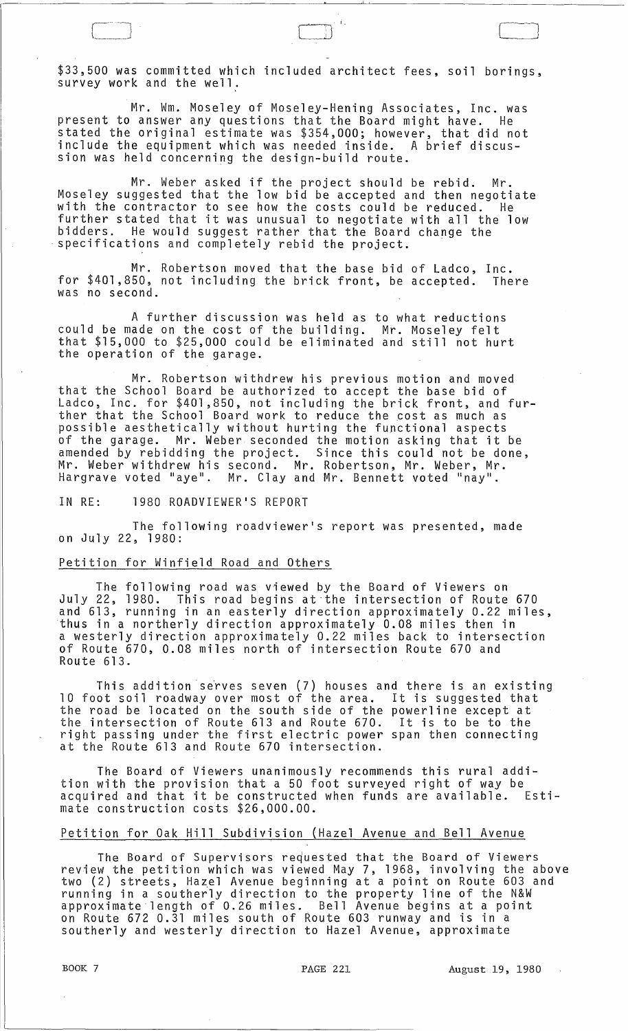\$33,500 was committed which included architect fees, soil borings, survey work and the well.

 $r-\overline{r}$  is the contract of the contract of the contract of the contract of the contract of the contract of the contract of the contract of the contract of the contract of the contract of the contract of the contract of

Mr. Wm. Moseley of Moseley-Hening Associates, Inc. was present to answer any questions that the Board might have. He stated the original estimate was \$354,000; however, that did not include the equipment which was needed inside. A brief discussion was held concerning the design-build route.

Mr. Weber asked if the project should be rebid. Mr. Moseley suggested that the low bid be accepted and then negotiate with the contractor to see how the costs could be reduced. He further stated that it was unusual to negotiate with all the low bidders. He would suggest rather that the Board change the .<br>specifications and completely rebid the project.

Mr. Robertson moved that the base bid of Ladco, Inc.<br>50, not including the brick front, be accepted. There for \$401,850, not including the brick front, be accepted. was no second.

A further discussion was held as to what reductions could be made on the cost of the building. Mr. Moseley felt that \$15,000 to \$25,000 could be eliminated and still not hurt the operation of the garage.

Mr. Robertson withdrew his previous motion and moved that the School Board be authorized to accept the base bid of Ladco, Inc. for \$401,850, not including the brick front, and further that the School Board work to reduce the cost as much as possible aesthetically without hurting the functional aspects of the garage. Mr. Weber seconded the motion asking that it be amended by rebidding the project. Since this could not be done, Mr. Weber withdrew his second. Mr. Robertson, Mr. Weber, Mr. Hargrave voted "aye". Mr. Clay and Mr. Bennett voted "nay".

IN RE: 1980 ROADVIEWER'S REPORT

The following roadviewer's report was presented, made on July 22, 1980:

# Petition for Winfield Road and Others

The following road was viewed by the Board of Viewers on July 22, 1980. This road begins at the intersection of Route 670 and 613, running in an easterly direction approximately 0.22 miles, thus in a northerly direction approximately 0.08 miles then in a westerly direction approximately 0.22 miles back to intersection of Route 670, 0.08 miles north of intersection Route 670 and Route 613.

This addition serves seven (7) houses and there is an existing 10 foot soil roadway over most of the area. It is suggested that the road be located on the south side of the powerline except at the intersection of Route 613 and Route 670. It is to be to the right passing under the first electric power span then connecting at the Route 613 and Route 670 intersection.

The Board of Viewers unanimously recommends this rural addition with the provision that a 50 foot surveyed right of way be acquired and that it be constructed when funds are available. Estimate construction costs \$26,000.00.

#### Petition for Oak Hill Subdivision (Hazel Avenue and Bell Avenue

The Board of Supervisors requested that the Board of Viewers review the petition which was viewed May 7, 1968, involving the above two (2) streets, Hazel Avenue beginning at a point on Route 603 and running in a southerly direction to the property line of the N&W anning in a southerly arrestion to the property rine of the name on Route 672 0.31 miles south of Route 603 runway and is in a southerly and westerly direction to Hazel Avenue, approximate

 $\sim 10$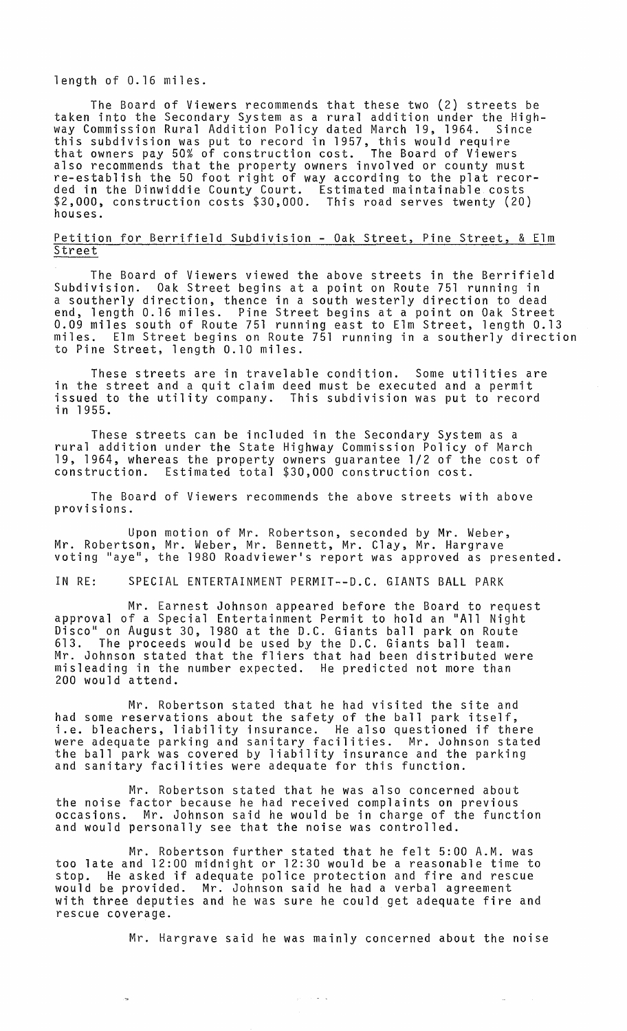#### length of 0.16 miles.

The Board of Viewers recommends that these two (2) streets be taken into the Secondary System as a rural addition under the Highway Commission Rural Addition Policy dated March 19, 1964. Since this subdivision was put to record in 1957, this would require<br>that owners pay 50% of construction cost. The Board of Viewers also recommends that the property owners involved or county must re-establish the 50 foot right of way according to the plat recorded in the Dinwiddie County Court. Estimated maintainable costs \$2,000, construction costs \$30,000. This road serves twenty (20) houses.

### Petition for Berrifield Subdivision - Oak Street, Pine Street, & Elm Street

The Board of Viewers viewed the above streets in the Berrifield Subdivision. Oak Street begins at a point on Route 751 running in a southerly direction, thence in a south westerly direction to dead end, length 0.16 miles. Pine Street begins at a point on Oak Street 0.09 miles south of Route 751 running east to Elm Street, length 0.13 miles. Elm Street begins on Route 751 running in a southerly direction to Pine Street, length 0.10 miles.

These streets are in travelable condition. Some utilities are in the street and a quit claim deed must be executed and a permit issued to the utility company. This subdivision was put to record in 1955.

These streets can be included in the Secondary System as a rural addition under the State Highway Commission Policy of March 19, 1964, whereas the property owners guarantee 1/2 of the cost of construction. Estimated total \$30,000 construction cost.

The Board of Viewers recommends the above streets with above provisions.

Upon motion of Mr. Robertson, seconded by Mr. Weber, Mr. Robertson, Mr. Weber, Mr. Bennett, Mr. Clay, Mr. Hargrave voting "aye", the 1980 Roadviewer's report was approved as presented.

IN RE: SPECIAL ENTERTAINMENT PERMIT--D.C. GIANTS BALL PARK

Mr. Earnest Johnson appeared before the Board to request approval of a Special Entertainment Permit to hold an "All Night Disco" on August 30, 1980 at the D.C. Giants ball park on Route 613. The proceeds would be used by the D.C. Giants ball team. Mr. Johnson stated that the fliers that had been distributed were misleading in the number expected. He predicted not more than 200 would attend.

Mr. Robertson stated that he had visited the site and had some reservations about the safety of the ball park itself, i.e. bleachers, liability insurance. He also questioned if there were adequate parking and sanitary facilities. Mr. Johnson stated the ball park was covered by liability insurance and the parking and sanitary facilities were adequate for this function.

Mr. Robertson stated that he was also concerned about the noise factor because he had received complaints on previous occasions. Mr. Johnson said he would be in charge of the function and would personally see that the noise was controlled.

Mr. Robertson further stated that he felt 5:00 A.M. was too late and 12:00 midnight or 12:30 would be a reasonable time to stop. He asked if adequate police protection and fire and rescue would be provided. Mr. Johnson said he had a verbal agreement with three deputies and he was sure he could get adequate fire and rescue coverage.

 $\gamma_{\rm eff}$  ,  $\gamma_{\rm eff}$  ,  $\gamma_{\rm eff}$ 

Mr. Hargrave said he was mainly concerned about the noise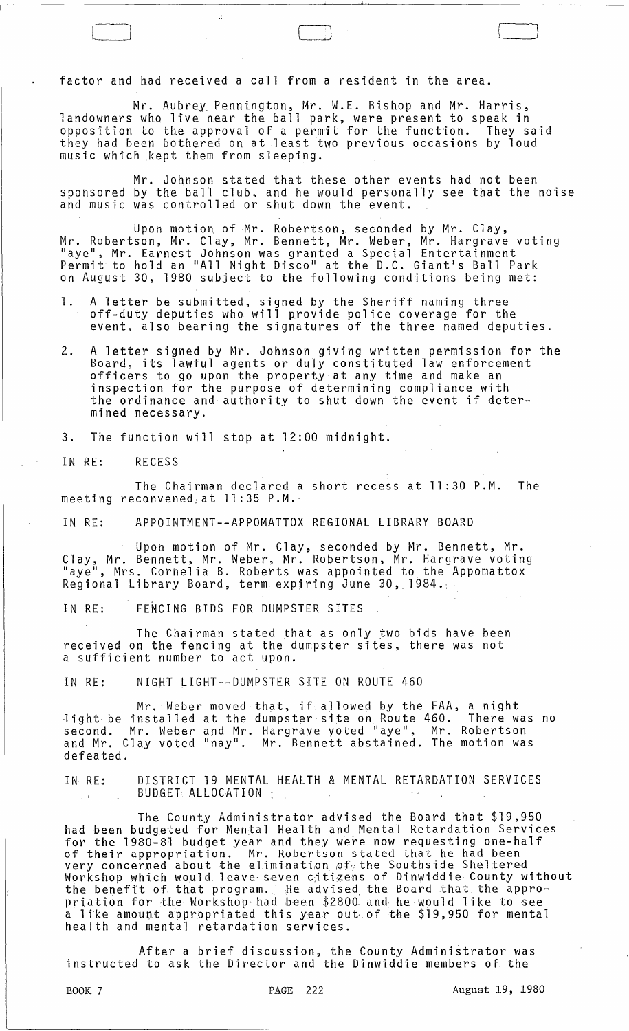factor and-had received a call from a resident in the area.

Mr. Aubrey Pennington, Mr. W.E. Bishop and Mr. Harris, landowners who live near the ball park, were present to speak in opposition to the approval of a permit for the function. They said they had been bothered on at least two previous occasions by loud music which kept them from sleeping.

 $\Box$ 

Mr. Johnson stated that these other events had not been sponsored by the ball club, and he would personally see that the noise and music was controlled or shut down the event.

Upon motion of ·Mr. Robertson,. seconded by Mr. Clay, Mr. Robertson, Mr. Clay, Mr. Bennett, Mr. Weber, Mr. Hargrave voting "aye", Mr. Earnest Johnson was granted a Special Entertainment Permit to hold an "All Night Disco" at the D.C. Giant's Ball Park on August 30, 1980 subject to the following conditions being met:

- **1.** A letter be submitted, signed by the Sheriff naming three off-duty deputies who will provide police coverage for the event, also bearing the signatures of the three named deputies.
- 2. A letter signed by Mr. Johnson giving written permission for the Board, its lawful agents or duly constituted law enforcement officers to go upon the property at any time and make an inspection for the purpose of determining compliance with the ordinance and· authority to shut down the event if determined necessary.

3. The function will stop at 12:00 midnight.

IN RE: RECESS

The Chairman declared a short recess at 11:30 P.M. The meeti ng reconvened, at **11:** 35 P. M.·

IN RE: APPOINTMENT--APPOMATTOX REGIONAL LIBRARY BOARD

Upon motion of Mr. Clay, seconded by Mr. Bennett, Mr. Clay, Mr. Bennett, Mr. Weber, Mr. Robertson, Mr. Hargrave voting "aye", Mrs. Cornel ia B. Roberts was appointed to the Appomattox Regional Library Board, term expjring June 30,.1984.:

IN RE: FENCING BIDS FOR DUMPSTER SITES

The Chairman stated that as only two bids have been received on the fencing at the dumpster sites, there was not a sufficient number to act upon.

IN RE: NIGHT LIGHT--DUMPSTER SITE ON ROUTE 460

Mr. Weber moved that, if allowed by the FAA, a night light be installed at the dumpster site on Route 460. There was no second. Mr. Weber and Mr. Hargrave voted "aye", Mr. Robertson and Mr. Clay voted "nay". Mr. Bennett abstained. The motion was defeated.

IN RE: DISTRICT 19 MENTAL HEALTH & MENTAL RETARDATION SERVICES BUDGET: ALLOCATION :  $\mathbb{Z}^{\mathbb{Z}^2}$ 

The County Administrator advised the Board that \$19,950 had been budgeted for Mental Health and Mental Retardation Services for the 1980-81 budget year and they were now requesting one-half of their appropriation. Mr. Robertson stated that he had been very concerned about the elimination of the Southside Sheltered Workshop which would leave seven citizens of Dinwiddie County without the benefit of that program., He advised the Board that the approthe benefit of that program. The advised the Board that the appro-<br>priation for the Workshop had been \$2800 and he would like to see a like amount appropriated this year out of the \$19,950 for mental health and mental retardation services.

After a brief discussion, the County Administrator was instructed to ask the Director and the Dinwiddie members of the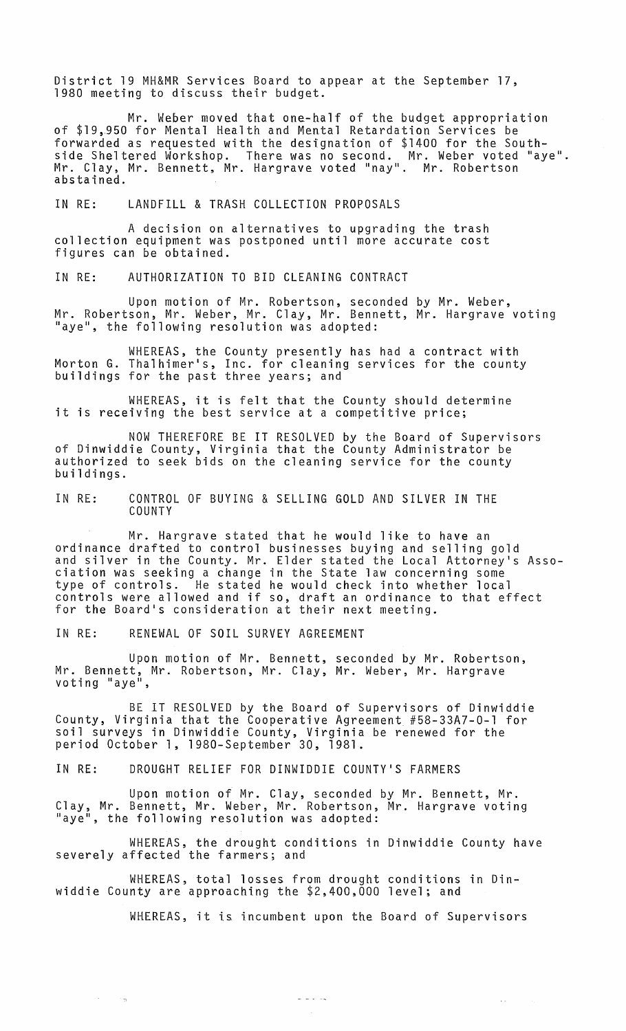District 19 MH&MR Services Board to appear at the September 17, 1980 meeting to discuss their budget.

Mr. Weber moved that one-half of the budget appropriation of \$19,.950 for Mental Health and Mental Retardation Services be forwarded as requested with the designation of \$1400 for the Southside Sheltered Workshop. There was no second. Mr. Weber voted Haye". Mr. Clay, Mr. Bennett, Mr. Hargrave voted "nay". Mr. Robertson abstained.

IN RE: LANDFILL & TRASH COLLECTION PROPOSALS

A decision on alternatives to upgrading the trash collection equipment was postponed until more accurate cost figures can be obtained.

IN RE: AUTHORIZATION TO BID CLEANING CONTRACT

Upon motion of Mr. Robertson, seconded by Mr. Weber, Mr. Robertson, Mr. Weber, Mr. Clay, Mr. Bennett, Mr. Hargrave voting "aye", the following resolution was adopted:

WHEREAS, the County presently has had a contract with Morton G. Thalhimer1s, Inc. for cleaning services for the county buildings for the past three years; and

WHEREAS, it is felt that the County should determine **INTEREAS, It is TEIT that the county should det<br>it is receiving the best service at a competitive price;** 

NOW THEREFORE BE IT RESOLVED by the Board of Supervisors of Dinwiddie County, Virginia that the County Administrator be authorized to seek bids on the cleaning service for the county buildings.

IN RE: CONTROL OF BUYING & SELLING GOLD AND SILVER IN THE COUNTY

Mr. Hargrave stated that he would like to have an ordinance drafted to control businesses buying and selling gold and silver in the County. Mr. Elder stated the Local Attorney's Association was seeking a change in the State law concerning some type of controls. He stated he would check into whether local controls were allowed and if so, draft an ordinance to that effect for the Board1s consideration at their next meeting.

IN RE: RENEWAL OF SOIL SURVEY AGREEMENT

 $\mathcal{L}(\mathbf{z})$ 

 $\sim$   $\sim$   $\sim$ 

Upon motion of Mr. Bennett, seconded by Mr. Robertson, Mr. Bennett, Mr. Robertson, Mr. Clay, Mr. Weber, Mr. Hargrave<br>voting "aye",

BE IT RESOLVED by the Board of Supervisors of Dinwiddie County, Virginia that the Cooperative Agreement #58-33A7-0-1 for soil surveys in Dinwiddie County, Virginia be renewed for the period October 1, 1980-September 30, 1981.

IN RE: DROUGHT RELIEF FOR DINWIDDIE COUNTY1S FARMERS

Upon motion of Mr. Clay, seconded by Mr. Bennett, Mr. Clay, Mr. Bennett, Mr. Weber, Mr. Robertson, Mr. Hargrave voting eray, Mr. Bennett, Mr. Weber, Mr. Robertson,<br>"aye", the following resolution was adopted:

WHEREAS, the drought conditions in Dinwiddie County have severely affected the farmers; and

WHEREAS, total losses from drought conditions in Dinwiddie County are approaching the \$2,400,000 level; and

WHEREAS, it is incumbent upon the Board of Supervisors

 $\omega$  and  $\omega$ 

 $\sim 10^{-1}$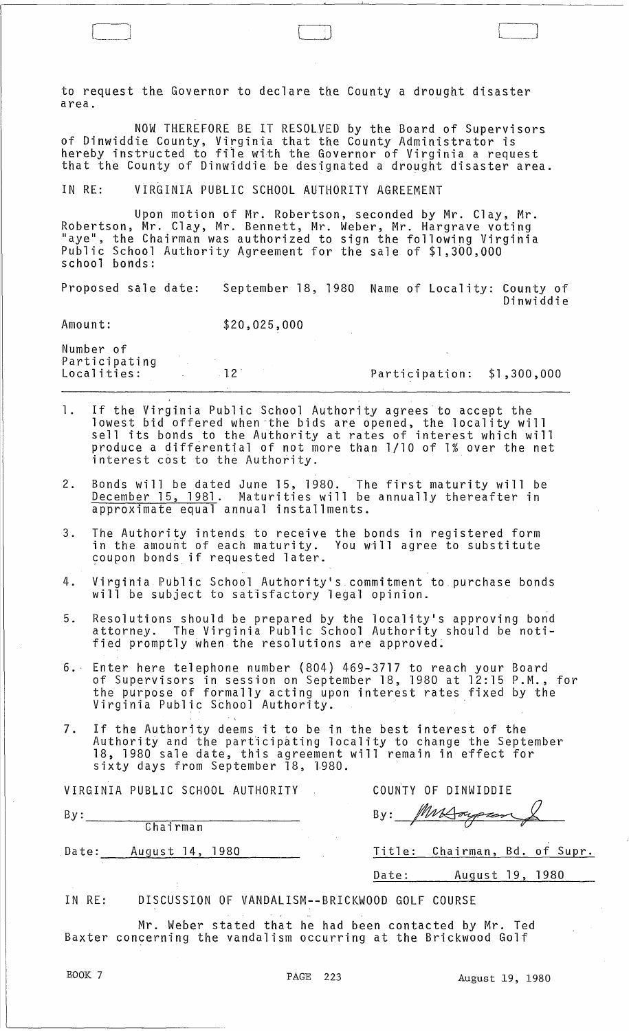to request the Governor to declare the County a drought disaster area.

NOW THEREFORE BE IT RESOLVED by the Board of Supervisors of Dinwiddie County, Virginia that the County Administrator is hereby instructed to file with the Governor of Virginia a request that the County of Dinwiddie be designated a drought disaster area.

IN RE: VIRGINIA PUBLIC SCHOOL AUTHORITY AGREEMENT

Upon motion of Mr. Robertson, seconded by Mr. Clay, Mr. Robertson, Mr. Clay, Mr. Bennett, Mr. Weber, Mr. Hargrave voting "aye", the Chairman was authorized to sign the following Virginia Public School Authority Agreement for the sale of \$1,300,000 school bonds:

Proposed sale date: September 18, 1980 Name of Locality: County of Dinwiddie

Amount: \$20,025,000

Number of Participating Localities:

12' Participation: \$1,300,000

 $\Box$ 

- **1.** If the Virginia Public School Authority agrees to accept the lowest bid offered when ·the bids are opened, the locality will sell its bonds to the Authority at rates of interest which will produce a differential of not more than 1/10 of 1% over the net interest cost to the Authority.
- 2. Bonds will be dated June 15, 1980. The first maturity will be December 15, 1981. Maturities will be annually thereafter in approximate equal annual installments.
- 3. The Authority intends to receive the bonds in registered form in the amouht of each maturity. You will agree to substitute coupon bonds if requested later.
- 4. Virginia Public School Authority's commitment to purchase bonds will be subject to satisfactory legal opinion.
- 5. Resolutions should be prepared by the 10cality's approving bond attorney. The Virginia Public School Authority should be notified promptly when the resolutions are approved.
- 6.· Enter here telephone number (804) 469-3717 to reach your Board of Supervisors in session on September 18, 1980 at 12:15 P.M., for the purpose of formally acting upon interest rates fixed by the Virginia Public School Authority. .
- 7. If the Authority deems it to be in the best interest of the are the magneticy addmenticipating locality to change the September 18, 1980 sale date, this agreement will remain in effect for sixty days from September 18, 1980.

|       | VIRGINIA PUBLIC SCHOOL AUTHORITY |       | COUNTY OF DINWIDDIE           |  |
|-------|----------------------------------|-------|-------------------------------|--|
| By:   |                                  | By:   |                               |  |
|       | Chairman                         |       |                               |  |
| Date: | August 14, 1980                  |       | Title: Chairman, Bd. of Supr. |  |
|       |                                  | Date: | August 19, 1980               |  |
|       |                                  |       |                               |  |

IN RE: DISCUSSION OF VANDALISM--BRICKWOOD GOLF COURSE

Mr. Weber stated that he had been contacted by Mr. Ted Baxter concerning the vandalism occurring at the Brickwood Golf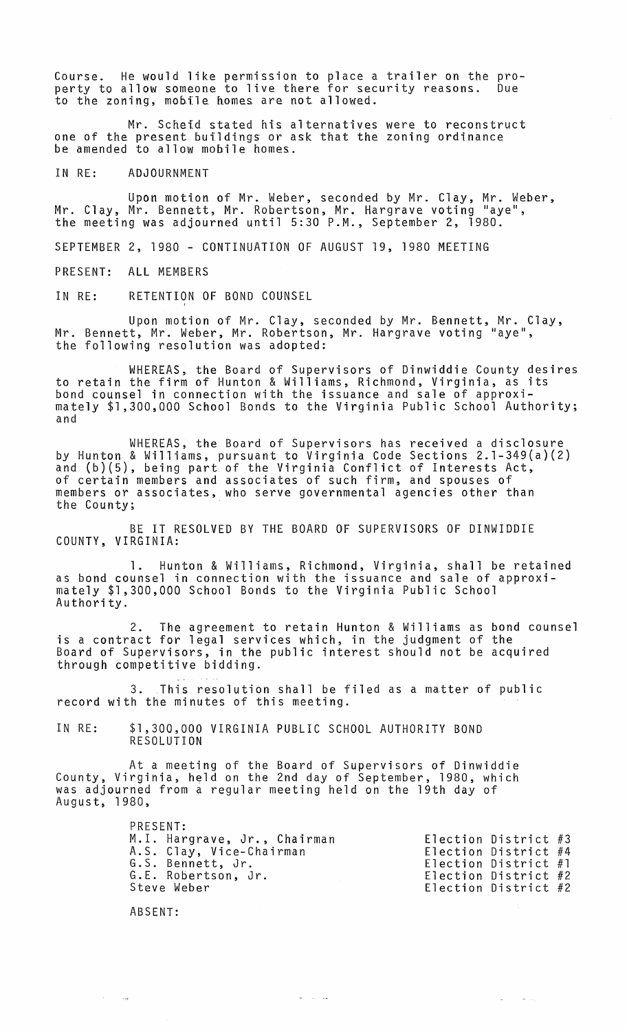Course. He would like permission to place a trailer on the property to allow someone to live there for security reasons. Due to the zoning, mobile homes are not allowed.

Mr. Scheid stated his alternatives were to reconstruct one of the present buildings or ask that the zoning ordinance be amended to allow mobile homes.

IN RE: ADJOURNMENT

Upon motion of Mr. Weber, seconded by Mr. Clay, Mr. Weber, Mr. Clay, Mr. Bennett, Mr. Robertson, Mr. Hargrave voting "aye", the meeting was adjourned until 5:30 P.M., September 2, 1980.

SEPTEMBER 2, 1980 - CONTINUATION OF AUGUST 19, 1980 MEETING

PRESENT: ALL MEMBERS

IN RE: RETENTION OF BOND COUNSEL

Upon motion of Mr. Clay, seconded by Mr. Bennett, Mr. Clay, Mr. Bennett, Mr. Weber, Mr. Robertson, Mr. Hargrave voting "aye", the following resolution was adopted:

WHEREAS, the Board of Supervisors of Dinwiddie County desires to retain the firm of Hunton & Williams, Richmond, Virginia, as its bond counsel in connection with the issuance and sale of approximately \$1,300,000 School Bonds to the Virginia Public School Authority; and

WHEREAS, the Board of Supervisors has received a disclosure by Hunton & Williams, pursuant to Virginia Code Sections 2.l-349(a)(2) and (b)(5), being part of the Virginia Conflict of Interests Act, of certain members and associates of such firm, and spouses of members or associates, who serve governmental agencies other than the County;

BE IT RESOLVED BY THE BOARD OF SUPERVISORS OF DINWIDDIE COUNTY, VIRGINIA:

1. Hunton & Williams, Richmond, Virginia, shall be retained as bond counsel in connection with the issuance and sale of approxi- mately \$1,300,000 School Bonds to the Virginia Public School Authority.

2. The agreement to retain Hunton & Williams as bond counsel is a contract for legal services which, in the judgment of the Board of Supervisors, in the public interest should not be acquired through competitive bidding.

3. This resolution shall be filed as a matter of public record with the minutes of this meeting.

IN RE: \$1,300,000 VIRGINIA PUBLIC SCHOOL AUTHORITY BOND RESOLUTION

At a meeting of the Board of Supervisors of Dinwiddie County, Virginia, held on the 2nd day of September, 1980, which was adjourned from a regular meeting held on the 19th day of August, 1980,

| PRESENT:                     |                        |  |
|------------------------------|------------------------|--|
| M.I. Hargrave, Jr., Chairman | Election District $#3$ |  |
| A.S. Clay, Vice-Chairman     | Election District $#4$ |  |
| G.S. Bennett, Jr.            | Election District $#1$ |  |
| G.E. Robertson, Jr.          | Election District $#2$ |  |
| Steve Weber                  | Election District #2   |  |

 $\omega_{\rm{max}}$  , where  $\omega_{\rm{max}}$ 

 $\omega_{\rm{max}}$  and  $\omega_{\rm{max}}$ 

ABSENT:

 $\sim$   $\sim$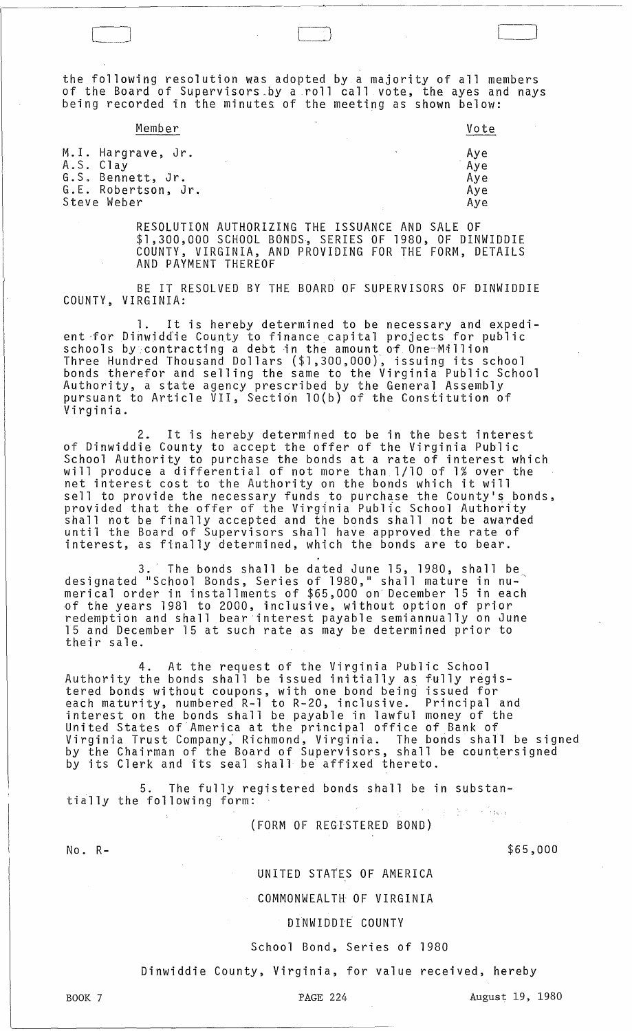the following resolution was adopted by a majority of all members of the Board of Supervisors\_by a roll call vote, the ayes and nays being recorded in the minutes of the meeting as shown below:

LJ

| Member                                                                                     | Vote                            |
|--------------------------------------------------------------------------------------------|---------------------------------|
| M.I. Hargrave, Jr.<br>A.S. Clay<br>G.S. Bennett, Jr.<br>G.E. Robertson, Jr.<br>Steve Weber | Aye<br>Aye<br>Aye<br>Aye<br>Aye |

RESOLUTION AUTHORIZING THE ISSUANCE AND SALE OF \$1,300,000 SCHOOL BONDS·, SERIES OF 1980, OF DINWIDDIE COUNTY, VIRGINIA, AND PROVIDING FOR THE FORM, DETAILS AND PAYMENT THEREOF

BE IT RESOLVED BY THE BOARD OF SUPERVISORS OF DINWIDDIE COUNTY, VIRGINIA:

1. It is hereby determined to be necessary and expedient for Dinwiddie County to finance capital projects for public schools by contracting a debt in the amount of One Million Three Hundred Thousand Dollars (\$1,300,000), issuing its school bonds therefor and selling the same to the Virginia Public School Authority, a state agency prescribed by the General Assembly pursuant to Article VII, Sectidn 10(b) of the Constitution of Virginia.

2. It is hereby determined to be in the best interest of Dinwiddie County to accept the offer of the Virginia Public School Authority to purchase the bonds at a rate of interest which will produce a differential of not more than 1/10 of 1% over the net interest cost to the Authority on the bonds which it will sell to provide the necessary funds to purchase the County's bonds, provided that the offer of the Virginia Public School Authority shall not be finally accepted and the bonds shall not be awarded until the Board of Supervisors shall have approved the rate of interest, as finally determined, which the bonds are to bear.

3.' The bonds shall be dated June 15, 1980, shall be designated "S chool Bonds, Series of 1980," shall mature in numerical order in installments of \$65,000 on· December 15 in each nf the years 1981 to 2000, inclusive, without option of prior redemption and shall bear interest payable semiannually on June 15 and December 15 at such rate as may be determined prior to their sale.

4. At the request of the Virginia Public School Authority the bonds shall be issued initially as fully registered bonds without coupons, with one bond being issued for each maturity, numbered R-l to R-20, inclusive. Principal and interest on the bonds shall be payable in lawful money of the United States of America at the principal office of Bank of Virginia Trust Company, Richmond, Virginia. The bonds shall be signed by the Chairman of the Board of Supervisors, shall be countersigned<br>by its Clerk and its seal shall be affixed thereto.

5. The fully registered bonds shall be in substan tially the following form:

(FORM OF REGISTERED BOND)

No. R-

\$65,000

### UNITED STATES OF AMERICA

COMMONWEALTH OF VIRGINIA

#### DINWIDDIE COUNTY

#### School Bond, Series of 1980

Dinwiddie County, Virginia, for value received, hereby

PAGE 224 August 19, 1980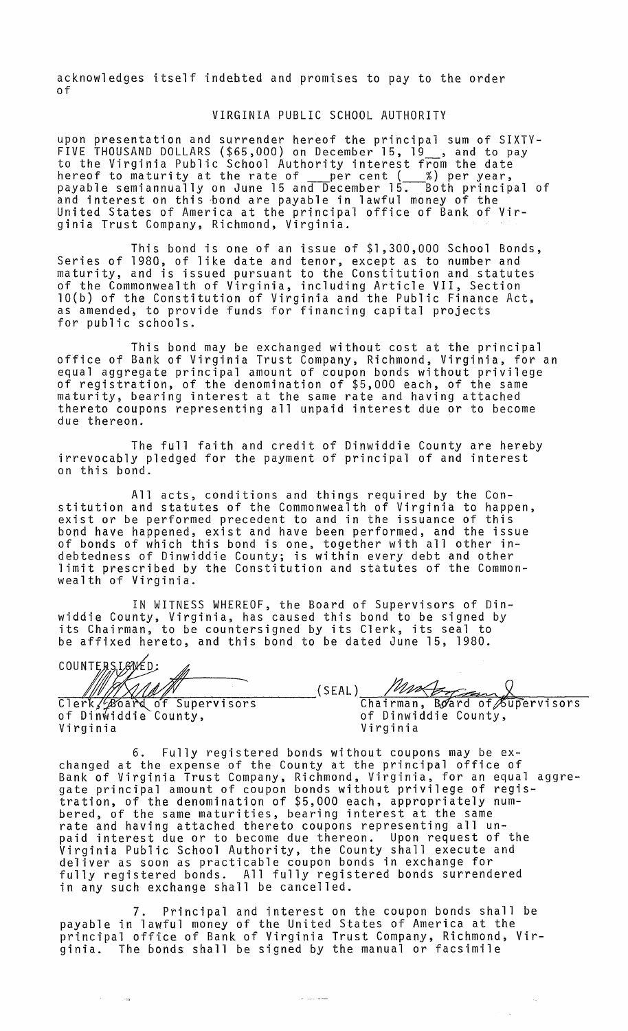acknowledges itself indebted and promises to pay to the order of

# VIRGINIA PUBLIC SCHOOL AUTHORITY

upon presentation and surrender hereof the principal sum of SIXTY-FIVE THOUSAND DOLLARS (\$65,000) on December 15, 19 , and to pay to the Virginia Public School Authority interest from the date hereof to maturity at the rate of per cent ( %) per year,<br>payable semiannually on June 15 and December 15. Both principal of and interest on this bond are payable in lawful money of the United States of America at the principal office of Bank of Virginia Trust Company, Richmond, Virginia.

This bond is one of an issue of \$1,300,000 School Bonds, Series of 1980, of like date and tenor, except as to number and maturity, and is issued pursuant to the Constitution and statutes of the Commonwealth of Virginia, including Article VII, Section  $10(b)$  of the Constitution of Virginia and the Public Finance Act, as amended, to provide funds for financing capital projects for public schools.

This bond may be exchanged without cost at the principal office of Bank of Virginia Trust Company, Richmond, Virginia, for an equal aggregate principal amount of coupon bonds without privilege<br>of registration, of the denomination of \$5,000 each, of the same maturity, bearing interest at the same rate and having attached thereto coupons representing all unpaid interest due or to become due thereon.

The full faith and credit of Dinwiddie County are hereby irrevocably pledged for the payment of principal of and interest on this bond.

All acts, conditions and things required by the Constitution and statutes of the Commonwealth of Virginia to happen, exist or be performed precedent to and in the issuance of this bood have happened, exist and have been performed, and the issue of bonds of which this bond is one, together with all other indebtedness of Dinwiddie County; is within every debt and other limit prescribed by the Constitution and statutes of the Commonwealth of Virginia.

IN WITNESS WHEREOF, the Board of Supervisors of Dinwiddie County, Virginia, has caused this bond to be signed by its Chairman, to be countersigned by its Clerk, its seal to be affixed hereto, and this bond to be dated June 15, 1980.

| widdie County, Virginia, has caused this bond to be signed by |                                                   |
|---------------------------------------------------------------|---------------------------------------------------|
| its Chairman, to be countersigned by its Clerk, its seal to   |                                                   |
| be affixed hereto, and this bond to be dated June 15, 1980.   |                                                   |
|                                                               |                                                   |
| COUNTERSIGNED:                                                |                                                   |
|                                                               | Master & Chairman, Board of Supervisors<br>(SEAL) |
| Clerk/Board of Supervisors                                    |                                                   |
| of Dinwiddie County,                                          | of Dinwiddie County,                              |
| Virginia                                                      | Virginia                                          |

6. Fully registered bonds without coupons may be exchanged at the expense of the County at the principal office of Bank of Virginia Trust Company, Richmond, Virginia, for an equal aggregate principal amount of coupon bonds without privilege of registration, of the denomination of \$5,000 each, appropriately numbered, of the same maturities, bearing interest at the same rate and having attached thereto coupons representing all unpaid interest due or to become due thereon. Upon request of the Virginia Public School Authority, the County shall execute and deliver as soon as practicable coupon bonds in exchange for fully registered bonds. All fully registered bonds surrendered fully registered bonds. All fully registered bonds surrendered<br>in any such exchange shall be cancelled.

7. Principal and interest on the coupon bonds shall be payable in lawful money of the United States of America at the principal office of Bank of Virginia Trust Company, Richmond, Virginia. The bonds shall be signed by the manual or facsimile

للمستعدد والمراجي

 $\lambda_{\rm B}$ 

 $\sim$ 

 $\sim$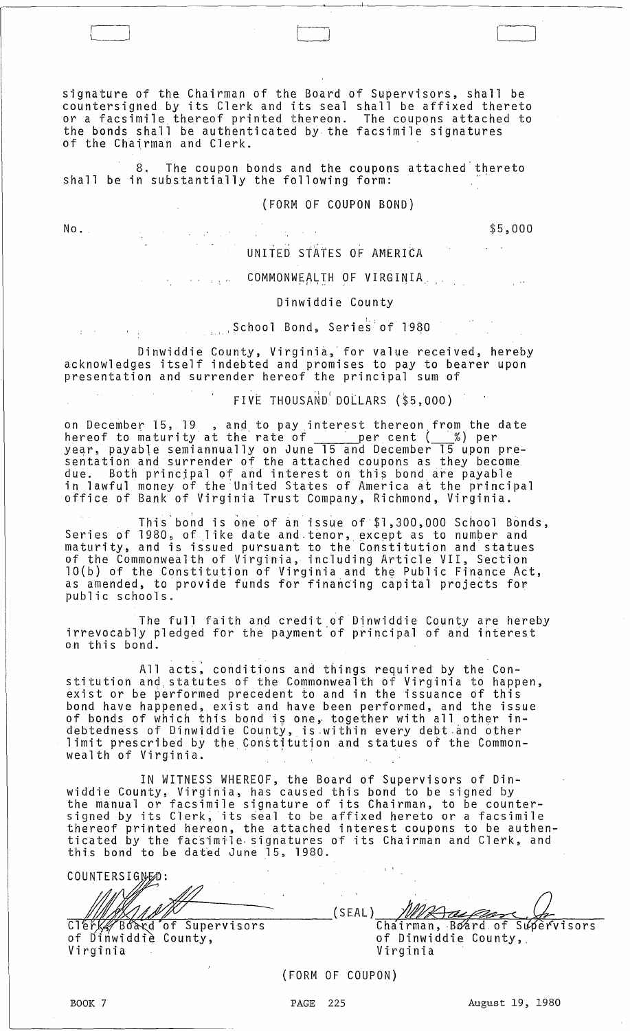signature of the Chairman of the Board of Supervisors, shall be countersigned by its Clerk and its seal shall be affixed thereto or a facsimile thereof printed thereon. The coupons attached to the bonds shall be authenticated by the facsimile signatures of the Chairman and Clerk.

The coupon bonds and the coupons attached thereto 8. The coupon bonds and the coupon:<br>shall be in substantially the following form:

#### (FORM OF COUPON BOND)

No.

r-i L <sup>j</sup>

\$5,000

UNITED STATES OF AMERICA

#### COMMONWEALTH OF VIRGINIA, **Carlo Art**

### Dinwiddie County

# $\ldots$  School Bond, Series of 1980

Dinwiddie County, Virginia, for value received, hereby acknowledges itself indebted and promises to pay to bearer upon presentation and surrender hereof the principal sum of<br>FIVE THOUSAND DOLLARS (\$5,000)

FIVE THOUSAND DOLLARS (\$5,000)

on December 15, 19 , and to pay interest thereon from the date<br>hereof to maturity at the rate of \_\_\_\_\_\_\_per cent (\_\_\_%) per year, payable semiannually on June 15 and December 15 upon pre-<br>sentation and surrender of the attached coupons as they become due. Both principal of and interest on this bond are payable in lawful money of the United States of America at the principal office of Bank of Virginia Trust Company, Richmond, Virginia.

This bond is one of an issue of \$1,300,000 School Bonds, Series of 1980, of like date and tenor, except as to number and maturity, and is issued pursuant to the Constitution and statues of the Commonwealth of Virginia, including Article VII, Section 10(b) of the Constitutjon of Virginia and the Public Finance Act, as amended, to provide funds for financing capital projects for public schools.

The full faith and credit of Dinwiddie County are hereby irrevocably pledged for the payment of principal of and interest on this bond.

All acts; conditions and things required by the Constitution and, statutes of the Commonwealth of Virginia to happen, exist or be performed precedent to and in the issuance of this bond have happened, exist and have been performed, and the issue bond nave nappened, exist and nave been perrormed, and the issu<br>of bonds of which this bond is one, together with all other in-<br>debtedness of Dinwiddie County, is within every debt and other<br>limit prescribed by the Constit debtedness of Dinwiddie County, is within every debt and other limit prescribed by the Constitution and statues of the Common-<br>wealth of Virginia.

IN WITNESS WHEREOF, the Board of Supervisors of Dinwiddie County, Virginia, has caused this bond to be signed by the manual or facsimile signature of its Chairman, to be countersigned by its Clerk, its seal to be affixed hereto or a facsimile thereof printed hereon, the attached interest coupons to be authenticated by the facsimile signatures of its Chairman and Clerk, and this bond to be dat~d June 15, 1980.

 $\mathbf{v} \in \mathcal{V}$ COUNTERSIGNED: WANNY (SEAL) MRAGES (SEAL)<br>Clerk4 Board of Supervisors Chairman, Board of Supervisors County, the county of Dinwiddie Virginia Virginia

(FORM OF COUPON)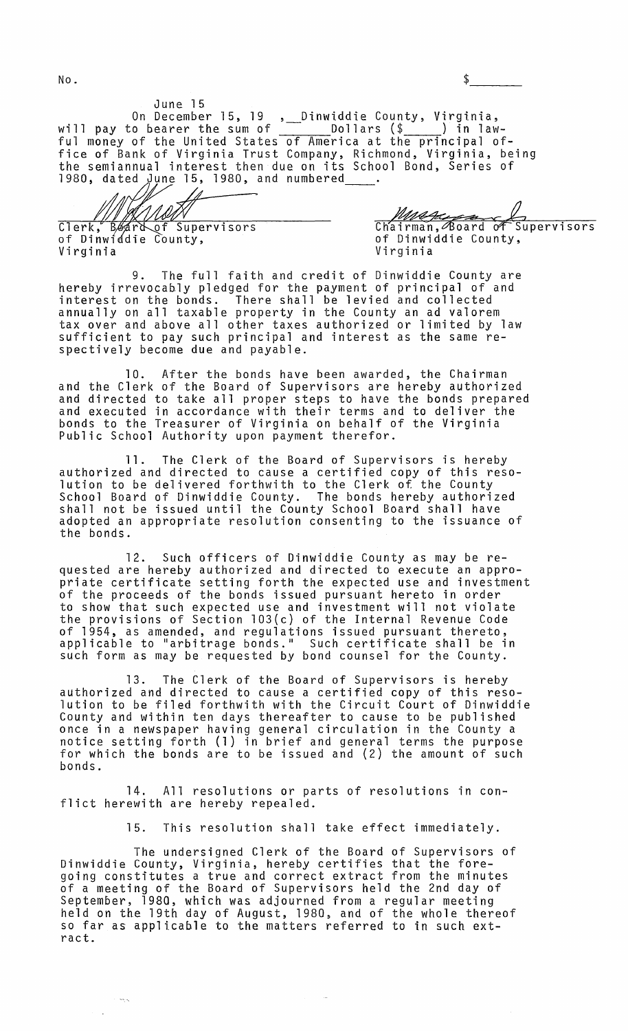$N$ o.  $\frac{1}{2}$ 

June 15 On December 15, 19 , Dinwiddie County, Virginia, will pay to bearer the sum of -- Dollars (\$ ) in lawful money of the United States of America at the principal office of Bank of Virginia Trust Company, Richmond, Virginia, being the semiannual interest then due on its School Bond, Series of 1980, dated June 15, 1980, and numbered

<code>Clerk, B</code> $\phi$ of Dinwi Virginia

Wetter Chairman, Board of Supervisors<br>of Dinwiddie County, Virginia

9. The full faith and credit of Dinwiddie County are hereby irrevocably pledged for the payment of principal of and interest on the bonds. There shall be levied and collected annually on all taxable property in the County an ad valorem tax over and above all other taxes authorized or limited by law sufficient to pay such principal and interest as the same respectively become due and payable.

10. After the bonds have been awarded, the Chairman and the Clerk of the Board of Supervisors are hereby authorized and directed to take all proper steps to have the bonds prepared and executed in accordance with their terms and to deliver the bonds to the Treasurer of Virginia on behalf of the Virginia Public School Authority upon payment therefor.

11. The Clerk of the Board of Supervisors is hereby authorized and directed to cause a certified copy of this resolution to be delivered forthwith to the Clerk of the County School Board of Dinwiddie County. The bonds hereby authorized shall not be issued until the County School Board shall have adopted an appropriate resolution consenting to the issuance of the bonds.

12. Such officers of Dinwiddie County as may be requested are hereby authorized and directed to execute an appropriate certificate setting forth the expected use and investment of the proceeds of the bonds issued pursuant hereto in order to show that such expected use and investment will not violate the provisions of Section 103(c) of the Internal Revenue Code of 1954, as amended, and regulations issued pursuant thereto, applicable to "arbitrage bonds." Such certificate shall be in such form as may be requested by bond counsel for the County.

13. The Clerk of the Board of Supervisors is hereby authorized and directed to cause a certified copy of this resolution to be filed forthwith with the Circuit Court of Dinwiddie County and within ten days thereafter to cause to be published once in a newspaper having general circulation in the County a notice setting forth (1) in brief and general terms the purpose for which the bonds are to be issued and (2) the amount of such bonds.

14. All resolutions or parts of resolutions in conflict herewith are hereby repealed.

15. This resolution shall take effect immediately.

The undersigned Clerk of the Board of Supervisors of Dinwiddie County, Virginia, hereby certifies that the foregoing constitutes a true and correct extract from the minutes of a meeting of the Board of Supervisors held the 2nd day of September, 1980, which was adjourned from a regular meeting held on the 19th day of August, 1980, and of the whole thereof so far as applicable to the matters referred to in such extract.

 $\sim$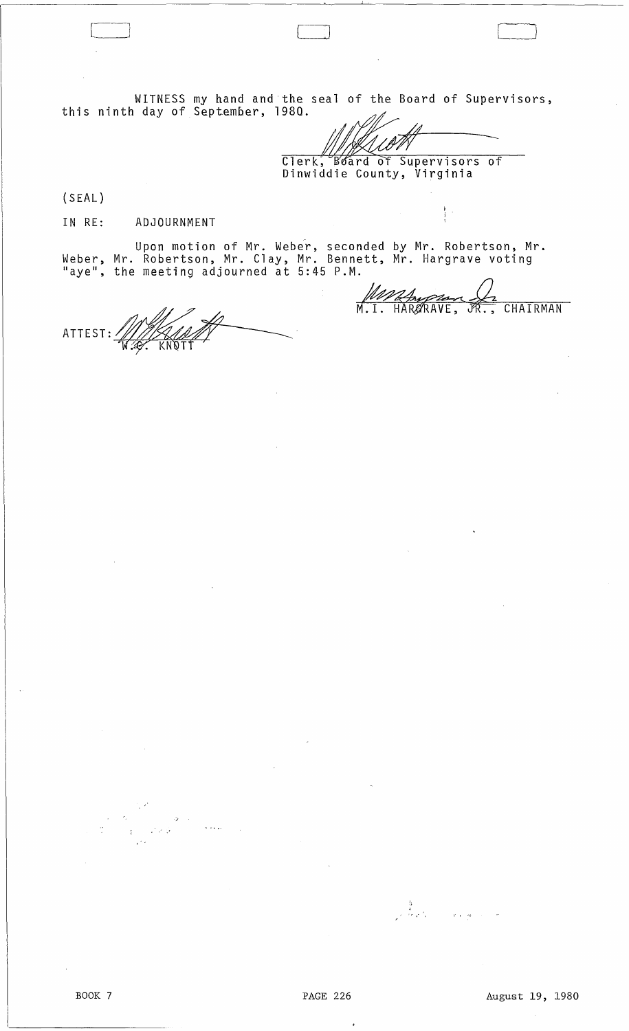WITNESS this ninth day of my hand and the seal of the Board of Supervisors, September, 198Q. //IYY~

[-j J

 $\frac{1}{2}$ 

Washington V2

Dinwiddie County, Virginia

(SEAL)

IN RE: ADJOURNMENT

Upon motion of Mr. Weber, seconded by Mr. Robertson, Mr. Weber, Mr. Robertson, Mr. Clay, Mr. Bennett, Mr. Hargrave voting "aye", the meeting adjourned at 5:45 P.M.

ATTEST: /

.' ...

 $\frac{1}{2}$